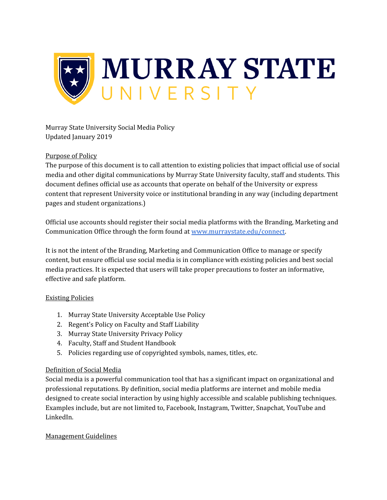

Murray State University Social Media Policy Updated January 2019

## Purpose of Policy

The purpose of this document is to call attention to existing policies that impact official use of social media and other digital communications by Murray State University faculty, staff and students. This document defines official use as accounts that operate on behalf of the University or express content that represent University voice or institutional branding in any way (including department pages and student organizations.)

Official use accounts should register their social media platforms with the Branding, Marketing and Communication Office through the form found at [www.murraystate.edu/connect.](http://www.murraystate.edu/connect)

It is not the intent of the Branding, Marketing and Communication Office to manage or specify content, but ensure official use social media is in compliance with existing policies and best social media practices. It is expected that users will take proper precautions to foster an informative, effective and safe platform.

## Existing Policies

- 1. Murray State University Acceptable Use Policy
- 2. Regent's Policy on Faculty and Staff Liability
- 3. Murray State University Privacy Policy
- 4. Faculty, Staff and Student Handbook
- 5. Policies regarding use of copyrighted symbols, names, titles, etc.

## Definition of Social Media

Social media is a powerful communication tool that has a significant impact on organizational and professional reputations. By definition, social media platforms are internet and mobile media designed to create social interaction by using highly accessible and scalable publishing techniques. Examples include, but are not limited to, Facebook, Instagram, Twitter, Snapchat, YouTube and LinkedIn.

## Management Guidelines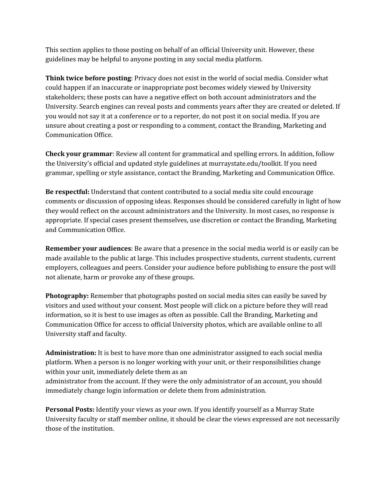This section applies to those posting on behalf of an official University unit. However, these guidelines may be helpful to anyone posting in any social media platform.

**Think twice before posting**: Privacy does not exist in the world of social media. Consider what could happen if an inaccurate or inappropriate post becomes widely viewed by University stakeholders; these posts can have a negative effect on both account administrators and the University. Search engines can reveal posts and comments years after they are created or deleted. If you would not say it at a conference or to a reporter, do not post it on social media. If you are unsure about creating a post or responding to a comment, contact the Branding, Marketing and Communication Office.

**Check your grammar**: Review all content for grammatical and spelling errors. In addition, follow the University's official and updated style guidelines at murraystate.edu/toolkit. If you need grammar, spelling or style assistance, contact the Branding, Marketing and Communication Office.

**Be respectful:** Understand that content contributed to a social media site could encourage comments or discussion of opposing ideas. Responses should be considered carefully in light of how they would reflect on the account administrators and the University. In most cases, no response is appropriate. If special cases present themselves, use discretion or contact the Branding, Marketing and Communication Office.

**Remember your audiences**: Be aware that a presence in the social media world is or easily can be made available to the public at large. This includes prospective students, current students, current employers, colleagues and peers. Consider your audience before publishing to ensure the post will not alienate, harm or provoke any of these groups.

**Photography:** Remember that photographs posted on social media sites can easily be saved by visitors and used without your consent. Most people will click on a picture before they will read information, so it is best to use images as often as possible. Call the Branding, Marketing and Communication Office for access to official University photos, which are available online to all University staff and faculty.

**Administration:** It is best to have more than one administrator assigned to each social media platform. When a person is no longer working with your unit, or their responsibilities change within your unit, immediately delete them as an

administrator from the account. If they were the only administrator of an account, you should immediately change login information or delete them from administration.

**Personal Posts:** Identify your views as your own. If you identify yourself as a Murray State University faculty or staff member online, it should be clear the views expressed are not necessarily those of the institution.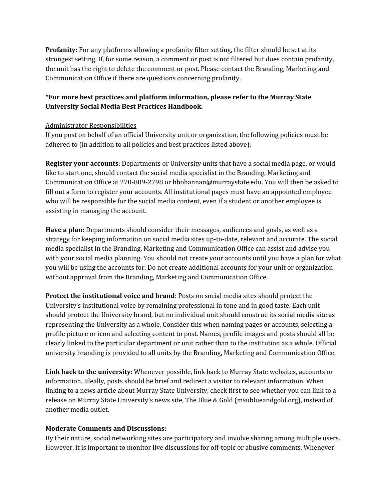**Profanity:** For any platforms allowing a profanity filter setting, the filter should be set at its strongest setting. If, for some reason, a comment or post is not filtered but does contain profanity, the unit has the right to delete the comment or post. Please contact the Branding, Marketing and Communication Office if there are questions concerning profanity.

# **\*For more best practices and platform information, please refer to the Murray State University Social Media Best Practices Handbook.**

## Administrator Responsibilities

If you post on behalf of an official University unit or organization, the following policies must be adhered to (in addition to all policies and best practices listed above):

**Register your accounts**: Departments or University units that have a social media page, or would like to start one, should contact the social media specialist in the Branding, Marketing and Communication Office at 270-809-2798 or bbohannan@murraystate.edu. You will then be asked to fill out a form to register your accounts. All institutional pages must have an appointed employee who will be responsible for the social media content, even if a student or another employee is assisting in managing the account.

**Have a plan:** Departments should consider their messages, audiences and goals, as well as a strategy for keeping information on social media sites up-to-date, relevant and accurate. The social media specialist in the Branding, Marketing and Communication Office can assist and advise you with your social media planning. You should not create your accounts until you have a plan for what you will be using the accounts for. Do not create additional accounts for your unit or organization without approval from the Branding, Marketing and Communication Office.

**Protect the institutional voice and brand**: Posts on social media sites should protect the University's institutional voice by remaining professional in tone and in good taste. Each unit should protect the University brand, but no individual unit should construe its social media site as representing the University as a whole. Consider this when naming pages or accounts, selecting a profile picture or icon and selecting content to post. Names, profile images and posts should all be clearly linked to the particular department or unit rather than to the institution as a whole. Official university branding is provided to all units by the Branding, Marketing and Communication Office.

**Link back to the university**: Whenever possible, link back to Murray State websites, accounts or information. Ideally, posts should be brief and redirect a visitor to relevant information. When linking to a news article about Murray State University, check first to see whether you can link to a release on Murray State University's news site, The Blue & Gold (msublueandgold.org), instead of another media outlet.

# **Moderate Comments and Discussions:**

By their nature, social networking sites are participatory and involve sharing among multiple users. However, it is important to monitor live discussions for off-topic or abusive comments. Whenever